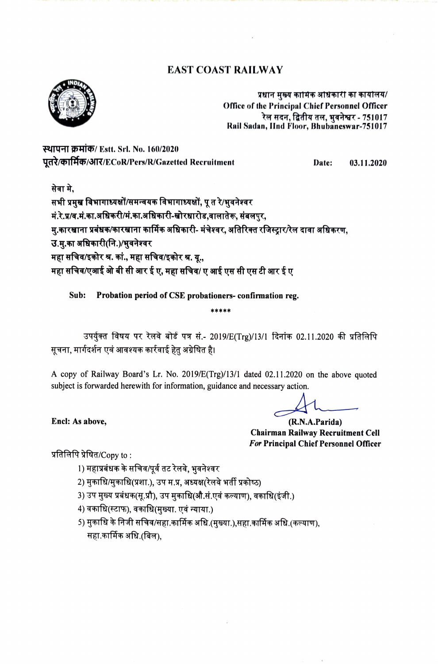# **EAST COAST RAILWAY**



प्रधान मुख्य कामिक अधिकारी का कार्यालय/ Office of the Principal Chief Personnel Officer रेल सदन, द्वितीय तल, भवनेश्वर - 751017 Rail Sadan, IInd Floor, Bhubaneswar-751017

स्थापना क्रमांक/ Estt. Srl. No. 160/2020 पूतरे/कार्मिक/आर/ECoR/Pers/R/Gazetted Recruitment

Date: 03.11.2020

सेवा मे.

सभी प्रमुख विभागाध्यक्षों/समन्वयक विभागाध्यक्षों, पू त रे/भूवनेश्वर मं.रे.प्र/व.मं.का.अधिकरी/मं.का.अधिकारी-खोरधारोड,वालातेरू, संबलपुर, मु.कारखाना प्रबंधक/कारखाना कार्मिक अधिकारी- मंचेश्वर, अतिरिक्त रजिस्ट्रार/रेल दावा अधिकरण, उ.मु.का अधिकारी(नि.)/भुवनेश्वर महा सचिव/इकोर श्र. कां., महा सचिव/इकोर श्र. यू., महा सचिव/एआई ओ बी सी आर ई ए, महा सचिव/ ए आई एस सी एस टी आर ई ए

Sub: Probation period of CSE probationers- confirmation reg.

उपर्युक्त विषय पर रेलवे बोर्ड पत्र सं.- 2019/E(Trg)/13/1 दिनांक 02.11.2020 की प्रतिलिपि सूचना, मार्गदर्शन एवं आवश्यक कार्रवाई हेतु अग्रेषित है।

\*\*\*\*\*

A copy of Railway Board's Lr. No. 2019/E(Trg)/13/1 dated 02.11.2020 on the above quoted subject is forwarded herewith for information, guidance and necessary action.

(R.N.A.Parida) **Chairman Railway Recruitment Cell For Principal Chief Personnel Officer** 

प्रतिलिपि प्रेषित/ $Copy$  to :

Encl: As above,

1) महाप्रबंधक के सचिव/पूर्व तट रेलवे, भवनेश्वर

- 2) मुकाधि/मुकाधि(प्रशा.), उप म.प्र, अध्यक्ष(रेलवे भर्ती प्रकोष्ठ)
- 3) उप मुख्य प्रबंधक(सू.प्रौ), उप मुकाधि(औ.सं.एवं कल्याण), वकाधि(इंजी.)
- 4) वकाधि(स्टाफ), वकाधि(मुख्या. एवं न्याया.)
- 5) मुकाधि के निजी सचिव/सहा.कार्मिक अधि.(मुख्या.),सहा.कार्मिक अधि.(कल्याण), सहा.कार्मिक अधि.(बिल),